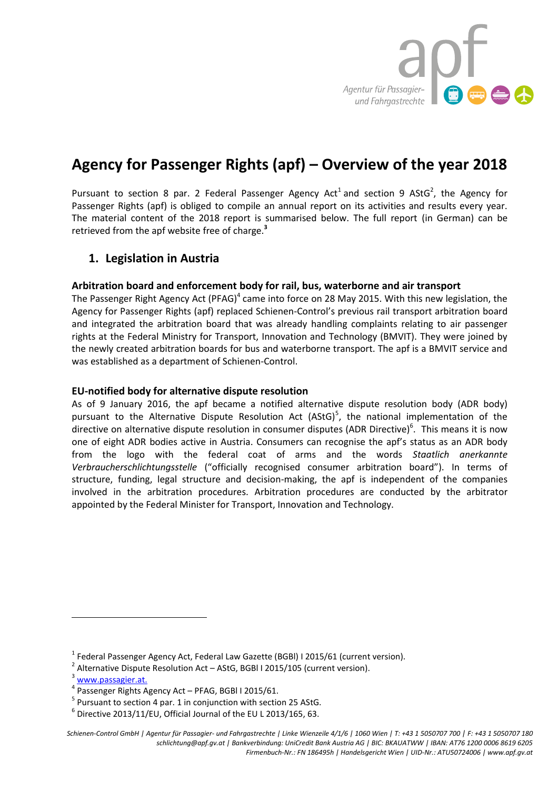

# **Agency for Passenger Rights (apf) – Overview of the year 2018**

Pursuant to section 8 par. 2 Federal Passenger Agency Act<sup>1</sup> and section 9 AStG<sup>2</sup>, the Agency for Passenger Rights (apf) is obliged to compile an annual report on its activities and results every year. The material content of the 2018 report is summarised below. The full report (in German) can be retrieved from the apf website free of charge.**<sup>3</sup>**

# **1. Legislation in Austria**

# **Arbitration board and enforcement body for rail, bus, waterborne and air transport**

The Passenger Right Agency Act (PFAG)<sup>4</sup> came into force on 28 May 2015. With this new legislation, the Agency for Passenger Rights (apf) replaced Schienen-Control's previous rail transport arbitration board and integrated the arbitration board that was already handling complaints relating to air passenger rights at the Federal Ministry for Transport, Innovation and Technology (BMVIT). They were joined by the newly created arbitration boards for bus and waterborne transport. The apf is a BMVIT service and was established as a department of Schienen-Control.

# **EU-notified body for alternative dispute resolution**

As of 9 January 2016, the apf became a notified alternative dispute resolution body (ADR body) pursuant to the Alternative Dispute Resolution Act (AStG)<sup>5</sup>, the national implementation of the directive on alternative dispute resolution in consumer disputes (ADR Directive)<sup>6</sup>. This means it is now one of eight ADR bodies active in Austria. Consumers can recognise the apf's status as an ADR body from the logo with the federal coat of arms and the words *Staatlich anerkannte Verbraucherschlichtungsstelle* ("officially recognised consumer arbitration board"). In terms of structure, funding, legal structure and decision-making, the apf is independent of the companies involved in the arbitration procedures. Arbitration procedures are conducted by the arbitrator appointed by the Federal Minister for Transport, Innovation and Technology.

 $\overline{a}$ 

 $^{1}$  Federal Passenger Agency Act, Federal Law Gazette (BGBI) I 2015/61 (current version).

 $^2$  Alternative Dispute Resolution Act – AStG, BGBI I 2015/105 (current version).

<sup>3</sup> www.passagier.at.

<sup>4</sup> Passenger Rights Agency Act – PFAG, BGBl I 2015/61.

 $<sup>5</sup>$  Pursuant to section 4 par. 1 in conjunction with section 25 AStG.</sup>

 $^6$  Directive 2013/11/EU, Official Journal of the EU L 2013/165, 63.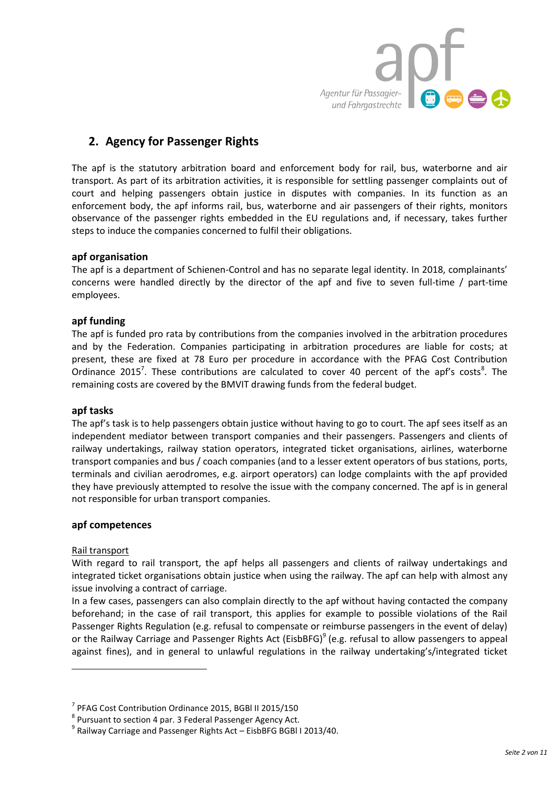

# **2. Agency for Passenger Rights**

The apf is the statutory arbitration board and enforcement body for rail, bus, waterborne and air transport. As part of its arbitration activities, it is responsible for settling passenger complaints out of court and helping passengers obtain justice in disputes with companies. In its function as an enforcement body, the apf informs rail, bus, waterborne and air passengers of their rights, monitors observance of the passenger rights embedded in the EU regulations and, if necessary, takes further steps to induce the companies concerned to fulfil their obligations.

# **apf organisation**

The apf is a department of Schienen-Control and has no separate legal identity. In 2018, complainants' concerns were handled directly by the director of the apf and five to seven full-time / part-time employees.

# **apf funding**

The apf is funded pro rata by contributions from the companies involved in the arbitration procedures and by the Federation. Companies participating in arbitration procedures are liable for costs; at present, these are fixed at 78 Euro per procedure in accordance with the PFAG Cost Contribution Ordinance 2015<sup>7</sup>. These contributions are calculated to cover 40 percent of the apf's costs<sup>8</sup>. The remaining costs are covered by the BMVIT drawing funds from the federal budget.

# **apf tasks**

The apf's task is to help passengers obtain justice without having to go to court. The apf sees itself as an independent mediator between transport companies and their passengers. Passengers and clients of railway undertakings, railway station operators, integrated ticket organisations, airlines, waterborne transport companies and bus / coach companies (and to a lesser extent operators of bus stations, ports, terminals and civilian aerodromes, e.g. airport operators) can lodge complaints with the apf provided they have previously attempted to resolve the issue with the company concerned. The apf is in general not responsible for urban transport companies.

# **apf competences**

# Rail transport

 $\overline{\phantom{a}}$ 

With regard to rail transport, the apf helps all passengers and clients of railway undertakings and integrated ticket organisations obtain justice when using the railway. The apf can help with almost any issue involving a contract of carriage.

In a few cases, passengers can also complain directly to the apf without having contacted the company beforehand; in the case of rail transport, this applies for example to possible violations of the Rail Passenger Rights Regulation (e.g. refusal to compensate or reimburse passengers in the event of delay) or the Railway Carriage and Passenger Rights Act (EisbBFG)<sup>9</sup> (e.g. refusal to allow passengers to appeal against fines), and in general to unlawful regulations in the railway undertaking's/integrated ticket

<sup>7</sup> PFAG Cost Contribution Ordinance 2015, BGBl II 2015/150

<sup>&</sup>lt;sup>8</sup> Pursuant to section 4 par. 3 Federal Passenger Agency Act.

 $^9$  Railway Carriage and Passenger Rights Act – EisbBFG BGBI I 2013/40.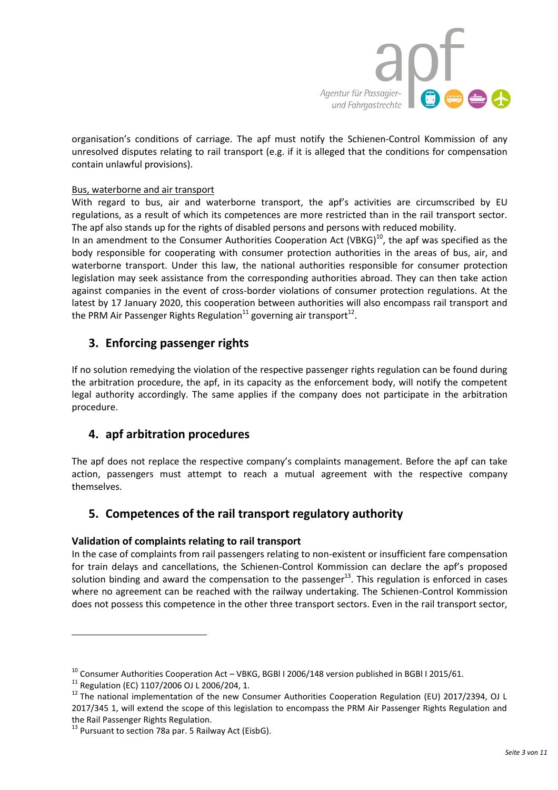

organisation's conditions of carriage. The apf must notify the Schienen-Control Kommission of any unresolved disputes relating to rail transport (e.g. if it is alleged that the conditions for compensation contain unlawful provisions).

# Bus, waterborne and air transport

With regard to bus, air and waterborne transport, the apf's activities are circumscribed by EU regulations, as a result of which its competences are more restricted than in the rail transport sector. The apf also stands up for the rights of disabled persons and persons with reduced mobility.

In an amendment to the Consumer Authorities Cooperation Act (VBKG) $^{10}$ , the apf was specified as the body responsible for cooperating with consumer protection authorities in the areas of bus, air, and waterborne transport. Under this law, the national authorities responsible for consumer protection legislation may seek assistance from the corresponding authorities abroad. They can then take action against companies in the event of cross-border violations of consumer protection regulations. At the latest by 17 January 2020, this cooperation between authorities will also encompass rail transport and the PRM Air Passenger Rights Regulation $^{11}$  governing air transport $^{12}$ .

# **3. Enforcing passenger rights**

If no solution remedying the violation of the respective passenger rights regulation can be found during the arbitration procedure, the apf, in its capacity as the enforcement body, will notify the competent legal authority accordingly. The same applies if the company does not participate in the arbitration procedure.

# **4. apf arbitration procedures**

The apf does not replace the respective company's complaints management. Before the apf can take action, passengers must attempt to reach a mutual agreement with the respective company themselves.

# **5. Competences of the rail transport regulatory authority**

# **Validation of complaints relating to rail transport**

In the case of complaints from rail passengers relating to non-existent or insufficient fare compensation for train delays and cancellations, the Schienen-Control Kommission can declare the apf's proposed solution binding and award the compensation to the passenger $^{13}$ . This regulation is enforced in cases where no agreement can be reached with the railway undertaking. The Schienen-Control Kommission does not possess this competence in the other three transport sectors. Even in the rail transport sector,

 $\overline{a}$ 

 $10$  Consumer Authorities Cooperation Act – VBKG, BGBI I 2006/148 version published in BGBI I 2015/61.

<sup>11</sup> Regulation (EC) 1107/2006 OJ L 2006/204, 1.

<sup>&</sup>lt;sup>12</sup> The national implementation of the new Consumer Authorities Cooperation Regulation (EU) 2017/2394, OJ L 2017/345 1, will extend the scope of this legislation to encompass the PRM Air Passenger Rights Regulation and the Rail Passenger Rights Regulation.

 $13$  Pursuant to section 78a par. 5 Railway Act (EisbG).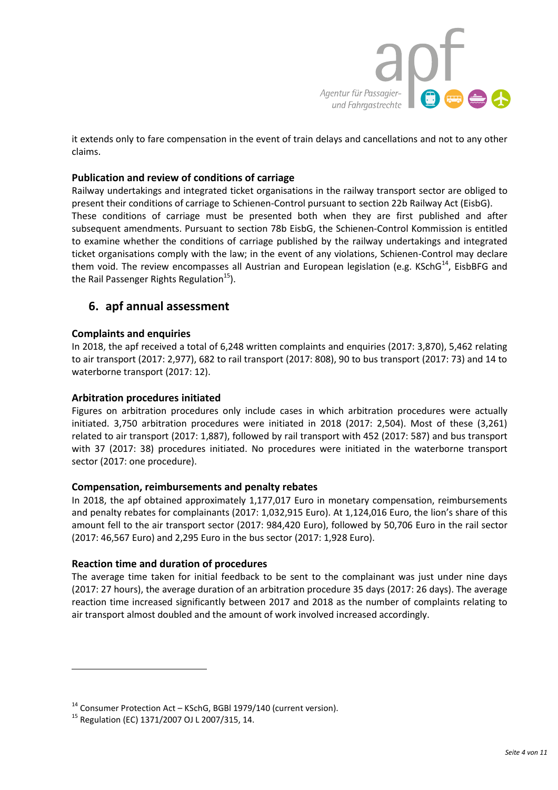

it extends only to fare compensation in the event of train delays and cancellations and not to any other claims.

# **Publication and review of conditions of carriage**

Railway undertakings and integrated ticket organisations in the railway transport sector are obliged to present their conditions of carriage to Schienen-Control pursuant to section 22b Railway Act (EisbG). These conditions of carriage must be presented both when they are first published and after subsequent amendments. Pursuant to section 78b EisbG, the Schienen-Control Kommission is entitled to examine whether the conditions of carriage published by the railway undertakings and integrated ticket organisations comply with the law; in the event of any violations, Schienen-Control may declare them void. The review encompasses all Austrian and European legislation (e.g. KSchG<sup>14</sup>, EisbBFG and the Rail Passenger Rights Regulation<sup>15</sup>).

# **6. apf annual assessment**

# **Complaints and enquiries**

In 2018, the apf received a total of 6,248 written complaints and enquiries (2017: 3,870), 5,462 relating to air transport (2017: 2,977), 682 to rail transport (2017: 808), 90 to bus transport (2017: 73) and 14 to waterborne transport (2017: 12).

# **Arbitration procedures initiated**

Figures on arbitration procedures only include cases in which arbitration procedures were actually initiated. 3,750 arbitration procedures were initiated in 2018 (2017: 2,504). Most of these (3,261) related to air transport (2017: 1,887), followed by rail transport with 452 (2017: 587) and bus transport with 37 (2017: 38) procedures initiated. No procedures were initiated in the waterborne transport sector (2017: one procedure).

# **Compensation, reimbursements and penalty rebates**

In 2018, the apf obtained approximately 1,177,017 Euro in monetary compensation, reimbursements and penalty rebates for complainants (2017: 1,032,915 Euro). At 1,124,016 Euro, the lion's share of this amount fell to the air transport sector (2017: 984,420 Euro), followed by 50,706 Euro in the rail sector (2017: 46,567 Euro) and 2,295 Euro in the bus sector (2017: 1,928 Euro).

# **Reaction time and duration of procedures**

The average time taken for initial feedback to be sent to the complainant was just under nine days (2017: 27 hours), the average duration of an arbitration procedure 35 days (2017: 26 days). The average reaction time increased significantly between 2017 and 2018 as the number of complaints relating to air transport almost doubled and the amount of work involved increased accordingly.

 $\overline{\phantom{a}}$ 

 $14$  Consumer Protection Act – KSchG, BGBI 1979/140 (current version).

<sup>15</sup> Regulation (EC) 1371/2007 OJ L 2007/315, 14.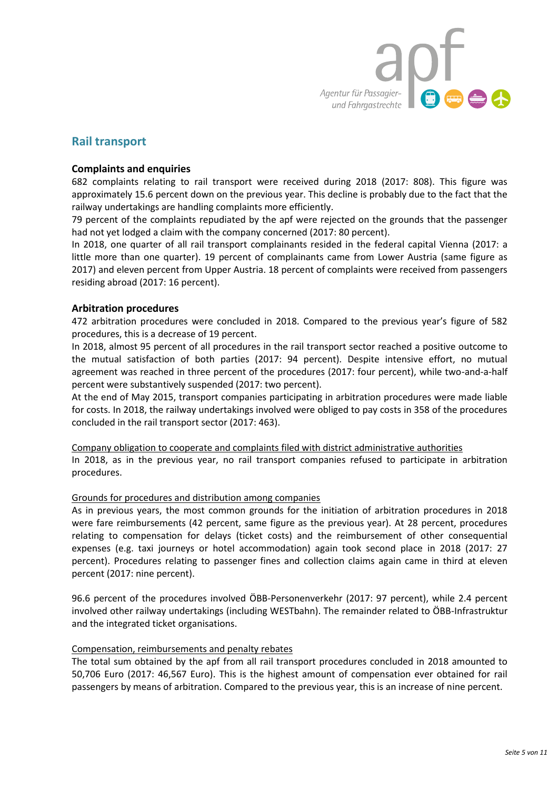

# **Rail transport**

### **Complaints and enquiries**

682 complaints relating to rail transport were received during 2018 (2017: 808). This figure was approximately 15.6 percent down on the previous year. This decline is probably due to the fact that the railway undertakings are handling complaints more efficiently.

79 percent of the complaints repudiated by the apf were rejected on the grounds that the passenger had not yet lodged a claim with the company concerned (2017: 80 percent).

In 2018, one quarter of all rail transport complainants resided in the federal capital Vienna (2017: a little more than one quarter). 19 percent of complainants came from Lower Austria (same figure as 2017) and eleven percent from Upper Austria. 18 percent of complaints were received from passengers residing abroad (2017: 16 percent).

# **Arbitration procedures**

472 arbitration procedures were concluded in 2018. Compared to the previous year's figure of 582 procedures, this is a decrease of 19 percent.

In 2018, almost 95 percent of all procedures in the rail transport sector reached a positive outcome to the mutual satisfaction of both parties (2017: 94 percent). Despite intensive effort, no mutual agreement was reached in three percent of the procedures (2017: four percent), while two-and-a-half percent were substantively suspended (2017: two percent).

At the end of May 2015, transport companies participating in arbitration procedures were made liable for costs. In 2018, the railway undertakings involved were obliged to pay costs in 358 of the procedures concluded in the rail transport sector (2017: 463).

Company obligation to cooperate and complaints filed with district administrative authorities In 2018, as in the previous year, no rail transport companies refused to participate in arbitration procedures.

#### Grounds for procedures and distribution among companies

As in previous years, the most common grounds for the initiation of arbitration procedures in 2018 were fare reimbursements (42 percent, same figure as the previous year). At 28 percent, procedures relating to compensation for delays (ticket costs) and the reimbursement of other consequential expenses (e.g. taxi journeys or hotel accommodation) again took second place in 2018 (2017: 27 percent). Procedures relating to passenger fines and collection claims again came in third at eleven percent (2017: nine percent).

96.6 percent of the procedures involved ÖBB-Personenverkehr (2017: 97 percent), while 2.4 percent involved other railway undertakings (including WESTbahn). The remainder related to ÖBB-Infrastruktur and the integrated ticket organisations.

#### Compensation, reimbursements and penalty rebates

The total sum obtained by the apf from all rail transport procedures concluded in 2018 amounted to 50,706 Euro (2017: 46,567 Euro). This is the highest amount of compensation ever obtained for rail passengers by means of arbitration. Compared to the previous year, this is an increase of nine percent.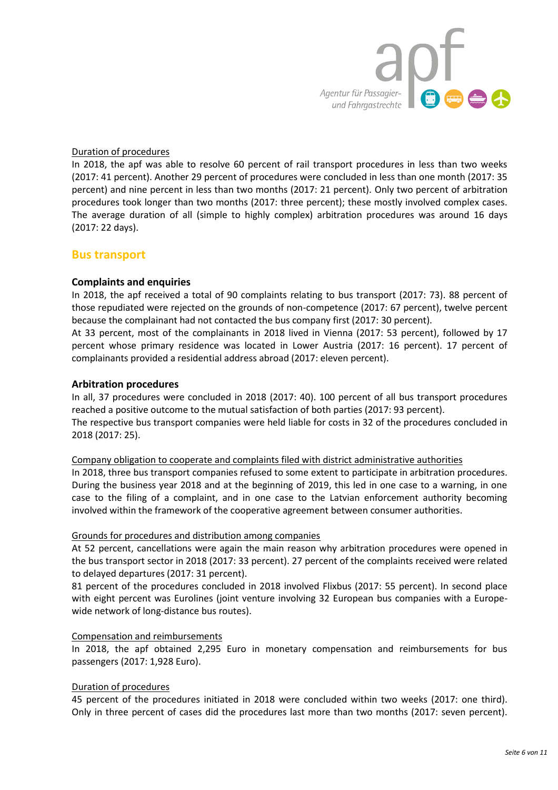

# Duration of procedures

In 2018, the apf was able to resolve 60 percent of rail transport procedures in less than two weeks (2017: 41 percent). Another 29 percent of procedures were concluded in less than one month (2017: 35 percent) and nine percent in less than two months (2017: 21 percent). Only two percent of arbitration procedures took longer than two months (2017: three percent); these mostly involved complex cases. The average duration of all (simple to highly complex) arbitration procedures was around 16 days (2017: 22 days).

# **Bus transport**

# **Complaints and enquiries**

In 2018, the apf received a total of 90 complaints relating to bus transport (2017: 73). 88 percent of those repudiated were rejected on the grounds of non-competence (2017: 67 percent), twelve percent because the complainant had not contacted the bus company first (2017: 30 percent).

At 33 percent, most of the complainants in 2018 lived in Vienna (2017: 53 percent), followed by 17 percent whose primary residence was located in Lower Austria (2017: 16 percent). 17 percent of complainants provided a residential address abroad (2017: eleven percent).

#### **Arbitration procedures**

In all, 37 procedures were concluded in 2018 (2017: 40). 100 percent of all bus transport procedures reached a positive outcome to the mutual satisfaction of both parties (2017: 93 percent). The respective bus transport companies were held liable for costs in 32 of the procedures concluded in 2018 (2017: 25).

#### Company obligation to cooperate and complaints filed with district administrative authorities

In 2018, three bus transport companies refused to some extent to participate in arbitration procedures. During the business year 2018 and at the beginning of 2019, this led in one case to a warning, in one case to the filing of a complaint, and in one case to the Latvian enforcement authority becoming involved within the framework of the cooperative agreement between consumer authorities.

#### Grounds for procedures and distribution among companies

At 52 percent, cancellations were again the main reason why arbitration procedures were opened in the bus transport sector in 2018 (2017: 33 percent). 27 percent of the complaints received were related to delayed departures (2017: 31 percent).

81 percent of the procedures concluded in 2018 involved Flixbus (2017: 55 percent). In second place with eight percent was Eurolines (joint venture involving 32 European bus companies with a Europewide network of long-distance bus routes).

#### Compensation and reimbursements

In 2018, the apf obtained 2,295 Euro in monetary compensation and reimbursements for bus passengers (2017: 1,928 Euro).

# Duration of procedures

45 percent of the procedures initiated in 2018 were concluded within two weeks (2017: one third). Only in three percent of cases did the procedures last more than two months (2017: seven percent).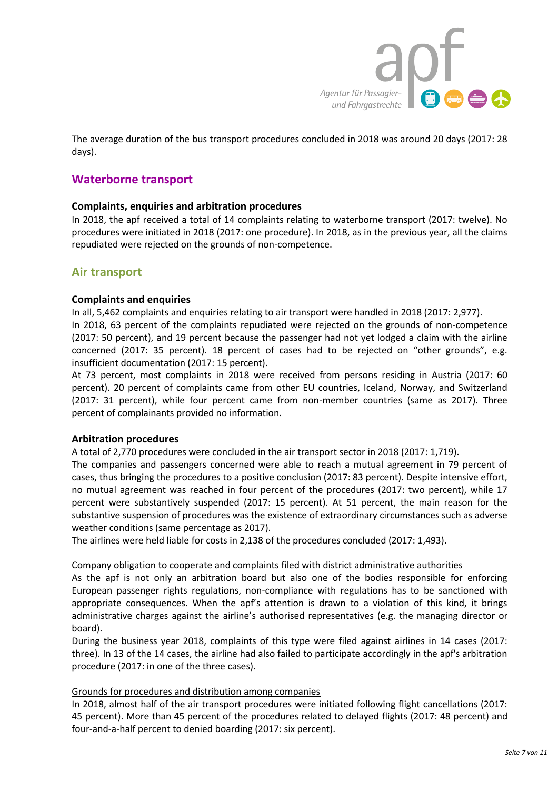

The average duration of the bus transport procedures concluded in 2018 was around 20 days (2017: 28 days).

# **Waterborne transport**

# **Complaints, enquiries and arbitration procedures**

In 2018, the apf received a total of 14 complaints relating to waterborne transport (2017: twelve). No procedures were initiated in 2018 (2017: one procedure). In 2018, as in the previous year, all the claims repudiated were rejected on the grounds of non-competence.

# **Air transport**

# **Complaints and enquiries**

In all, 5,462 complaints and enquiries relating to air transport were handled in 2018 (2017: 2,977). In 2018, 63 percent of the complaints repudiated were rejected on the grounds of non-competence (2017: 50 percent), and 19 percent because the passenger had not yet lodged a claim with the airline concerned (2017: 35 percent). 18 percent of cases had to be rejected on "other grounds", e.g. insufficient documentation (2017: 15 percent).

At 73 percent, most complaints in 2018 were received from persons residing in Austria (2017: 60 percent). 20 percent of complaints came from other EU countries, Iceland, Norway, and Switzerland (2017: 31 percent), while four percent came from non-member countries (same as 2017). Three percent of complainants provided no information.

# **Arbitration procedures**

A total of 2,770 procedures were concluded in the air transport sector in 2018 (2017: 1,719).

The companies and passengers concerned were able to reach a mutual agreement in 79 percent of cases, thus bringing the procedures to a positive conclusion (2017: 83 percent). Despite intensive effort, no mutual agreement was reached in four percent of the procedures (2017: two percent), while 17 percent were substantively suspended (2017: 15 percent). At 51 percent, the main reason for the substantive suspension of procedures was the existence of extraordinary circumstances such as adverse weather conditions (same percentage as 2017).

The airlines were held liable for costs in 2,138 of the procedures concluded (2017: 1,493).

# Company obligation to cooperate and complaints filed with district administrative authorities

As the apf is not only an arbitration board but also one of the bodies responsible for enforcing European passenger rights regulations, non-compliance with regulations has to be sanctioned with appropriate consequences. When the apf's attention is drawn to a violation of this kind, it brings administrative charges against the airline's authorised representatives (e.g. the managing director or board).

During the business year 2018, complaints of this type were filed against airlines in 14 cases (2017: three). In 13 of the 14 cases, the airline had also failed to participate accordingly in the apf's arbitration procedure (2017: in one of the three cases).

# Grounds for procedures and distribution among companies

In 2018, almost half of the air transport procedures were initiated following flight cancellations (2017: 45 percent). More than 45 percent of the procedures related to delayed flights (2017: 48 percent) and four-and-a-half percent to denied boarding (2017: six percent).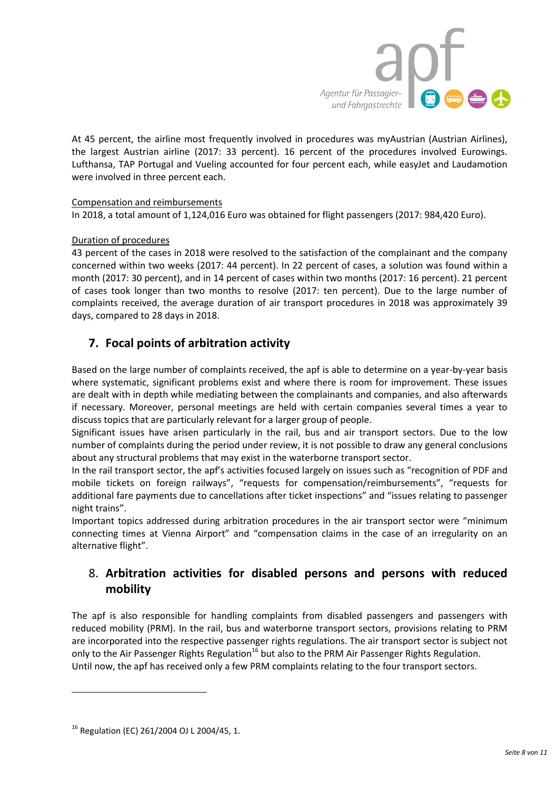

At 45 percent, the airline most frequently involved in procedures was myAustrian (Austrian Airlines), the largest Austrian airline (2017: 33 percent). 16 percent of the procedures involved Eurowings. Lufthansa, TAP Portugal and Vueling accounted for four percent each, while easyJet and Laudamotion were involved in three percent each.

# Compensation and reimbursements

In 2018, a total amount of 1,124,016 Euro was obtained for flight passengers (2017: 984,420 Euro).

# Duration of procedures

43 percent of the cases in 2018 were resolved to the satisfaction of the complainant and the company concerned within two weeks (2017: 44 percent). In 22 percent of cases, a solution was found within a month (2017: 30 percent), and in 14 percent of cases within two months (2017: 16 percent). 21 percent of cases took longer than two months to resolve (2017: ten percent). Due to the large number of complaints received, the average duration of air transport procedures in 2018 was approximately 39 days, compared to 28 days in 2018.

# **7. Focal points of arbitration activity**

Based on the large number of complaints received, the apf is able to determine on a year-by-year basis where systematic, significant problems exist and where there is room for improvement. These issues are dealt with in depth while mediating between the complainants and companies, and also afterwards if necessary. Moreover, personal meetings are held with certain companies several times a year to discuss topics that are particularly relevant for a larger group of people.

Significant issues have arisen particularly in the rail, bus and air transport sectors. Due to the low number of complaints during the period under review, it is not possible to draw any general conclusions about any structural problems that may exist in the waterborne transport sector.

In the rail transport sector, the apf's activities focused largely on issues such as "recognition of PDF and mobile tickets on foreign railways", "requests for compensation/reimbursements", "requests for additional fare payments due to cancellations after ticket inspections" and "issues relating to passenger night trains".

Important topics addressed during arbitration procedures in the air transport sector were "[minimum](https://www.apf.gv.at/de/blogdetail/informationsblatt-der-eu-kommission-ueber-claimfirmen-im-flugverkehr.html)  [connecting times](https://www.apf.gv.at/de/blogdetail/informationsblatt-der-eu-kommission-ueber-claimfirmen-im-flugverkehr.html) at Vienna Airport" and "compensation claims in the case of an irregularity on an alternative flight".

# 8. **Arbitration activities for disabled persons and persons with reduced mobility**

The apf is also responsible for handling complaints from disabled passengers and passengers with reduced mobility (PRM). In the rail, bus and waterborne transport sectors, provisions relating to PRM are incorporated into the respective passenger rights regulations. The air transport sector is subject not only to the Air Passenger Rights Regulation<sup>16</sup> but also to the PRM Air Passenger Rights Regulation. Until now, the apf has received only a few PRM complaints relating to the four transport sectors.

 $\overline{\phantom{a}}$ 

<sup>&</sup>lt;sup>16</sup> Regulation (EC) 261/2004 OJ L 2004/45, 1.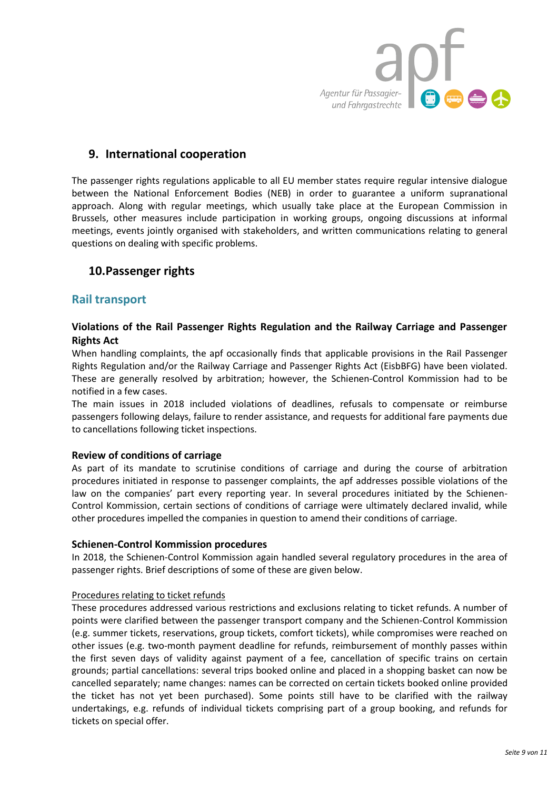

# **9. International cooperation**

The passenger rights regulations applicable to all EU member states require regular intensive dialogue between the National Enforcement Bodies (NEB) in order to guarantee a uniform supranational approach. Along with regular meetings, which usually take place at the European Commission in Brussels, other measures include participation in working groups, ongoing discussions at informal meetings, events jointly organised with stakeholders, and written communications relating to general questions on dealing with specific problems.

# **10.Passenger rights**

# **Rail transport**

# **Violations of the Rail Passenger Rights Regulation and the Railway Carriage and Passenger Rights Act**

When handling complaints, the apf occasionally finds that applicable provisions in the Rail Passenger Rights Regulation and/or the Railway Carriage and Passenger Rights Act (EisbBFG) have been violated. These are generally resolved by arbitration; however, the Schienen-Control Kommission had to be notified in a few cases.

The main issues in 2018 included violations of deadlines, refusals to compensate or reimburse passengers following delays, failure to render assistance, and requests for additional fare payments due to cancellations following ticket inspections.

# **Review of conditions of carriage**

As part of its mandate to scrutinise conditions of carriage and during the course of arbitration procedures initiated in response to passenger complaints, the apf addresses possible violations of the law on the companies' part every reporting year. In several procedures initiated by the Schienen-Control Kommission, certain sections of conditions of carriage were ultimately declared invalid, while other procedures impelled the companies in question to amend their conditions of carriage.

# **Schienen-Control Kommission procedures**

In 2018, the Schienen-Control Kommission again handled several regulatory procedures in the area of passenger rights. Brief descriptions of some of these are given below.

# Procedures relating to ticket refunds

These procedures addressed various restrictions and exclusions relating to ticket refunds. A number of points were clarified between the passenger transport company and the Schienen-Control Kommission (e.g. summer tickets, reservations, group tickets, comfort tickets), while compromises were reached on other issues (e.g. two-month payment deadline for refunds, reimbursement of monthly passes within the first seven days of validity against payment of a fee, cancellation of specific trains on certain grounds; partial cancellations: several trips booked online and placed in a shopping basket can now be cancelled separately; name changes: names can be corrected on certain tickets booked online provided the ticket has not yet been purchased). Some points still have to be clarified with the railway undertakings, e.g. refunds of individual tickets comprising part of a group booking, and refunds for tickets on special offer.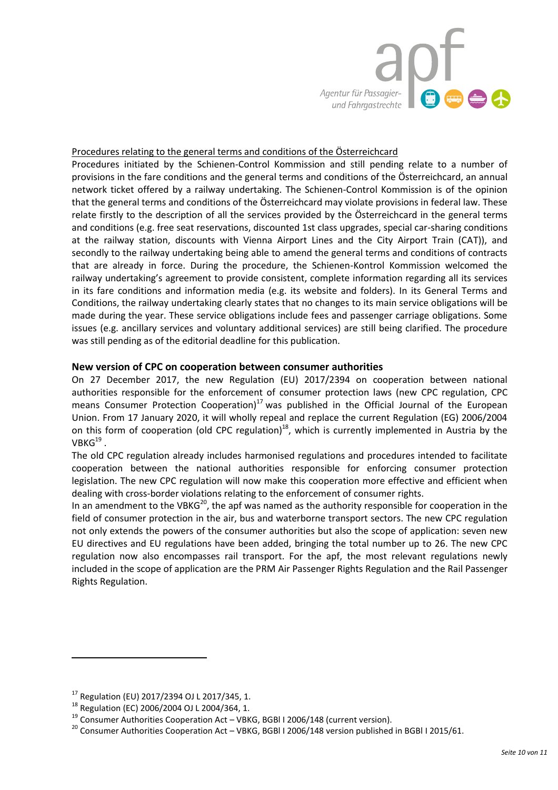

# Procedures relating to the general terms and conditions of the Österreichcard

Procedures initiated by the Schienen-Control Kommission and still pending relate to a number of provisions in the fare conditions and the general terms and conditions of the Österreichcard, an annual network ticket offered by a railway undertaking. The Schienen-Control Kommission is of the opinion that the general terms and conditions of the Österreichcard may violate provisions in federal law. These relate firstly to the description of all the services provided by the Österreichcard in the general terms and conditions (e.g. free seat reservations, discounted 1st class upgrades, special car-sharing conditions at the railway station, discounts with Vienna Airport Lines and the City Airport Train (CAT)), and secondly to the railway undertaking being able to amend the general terms and conditions of contracts that are already in force. During the procedure, the Schienen-Kontrol Kommission welcomed the railway undertaking's agreement to provide consistent, complete information regarding all its services in its fare conditions and information media (e.g. its website and folders). In its General Terms and Conditions, the railway undertaking clearly states that no changes to its main service obligations will be made during the year. These service obligations include fees and passenger carriage obligations. Some issues (e.g. ancillary services and voluntary additional services) are still being clarified. The procedure was still pending as of the editorial deadline for this publication.

# **New version of CPC on cooperation between consumer authorities**

On 27 December 2017, the new Regulation (EU) 2017/2394 on cooperation between national authorities responsible for the enforcement of consumer protection laws (new CPC regulation, CPC means Consumer Protection Cooperation) $17$  was published in the Official Journal of the European Union. From 17 January 2020, it will wholly repeal and replace the current Regulation (EG) 2006/2004 on this form of cooperation (old CPC regulation)<sup>18</sup>, which is currently implemented in Austria by the  $\mathsf{VBKG}^\mathsf{19}$  .

The old CPC regulation already includes harmonised regulations and procedures intended to facilitate cooperation between the national authorities responsible for enforcing consumer protection legislation. The new CPC regulation will now make this cooperation more effective and efficient when dealing with cross-border violations relating to the enforcement of consumer rights.

In an amendment to the VBK $G^{20}$ , the apf was named as the authority responsible for cooperation in the field of consumer protection in the air, bus and waterborne transport sectors. The new CPC regulation not only extends the powers of the consumer authorities but also the scope of application: seven new EU directives and EU regulations have been added, bringing the total number up to 26. The new CPC regulation now also encompasses rail transport. For the apf, the most relevant regulations newly included in the scope of application are the PRM Air Passenger Rights Regulation and the Rail Passenger Rights Regulation.

 $\overline{a}$ 

<sup>17</sup> Regulation (EU) 2017/2394 OJ L 2017/345, 1.

<sup>18</sup> Regulation (EC) 2006/2004 OJ L 2004/364, 1.

<sup>&</sup>lt;sup>19</sup> Consumer Authorities Cooperation Act – VBKG, BGBI I 2006/148 (current version).

<sup>&</sup>lt;sup>20</sup> Consumer Authorities Cooperation Act - VBKG, BGBI I 2006/148 version published in BGBI I 2015/61.